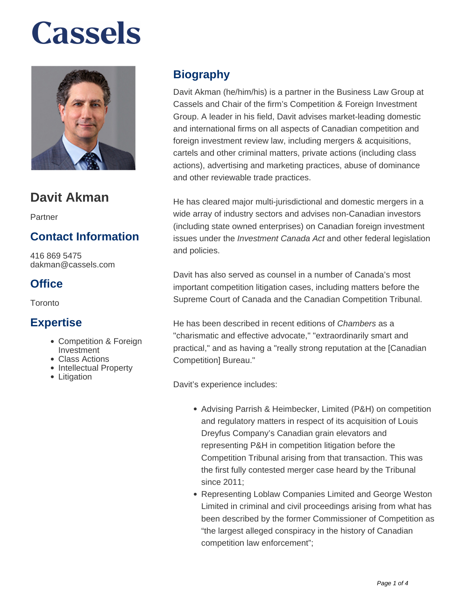

## **Davit Akman**

Partner

### **Contact Information**

416 869 5475 dakman@cassels.com

### **Office**

**Toronto** 

#### **Expertise**

- Competition & Foreign Investment
- Class Actions
- Intellectual Property
- Litigation

### **Biography**

Davit Akman (he/him/his) is a partner in the Business Law Group at Cassels and Chair of the firm's Competition & Foreign Investment Group. A leader in his field, Davit advises market-leading domestic and international firms on all aspects of Canadian competition and foreign investment review law, including mergers & acquisitions, cartels and other criminal matters, private actions (including class actions), advertising and marketing practices, abuse of dominance and other reviewable trade practices.

He has cleared major multi-jurisdictional and domestic mergers in a wide array of industry sectors and advises non-Canadian investors (including state owned enterprises) on Canadian foreign investment issues under the *Investment Canada Act* and other federal legislation and policies.

Davit has also served as counsel in a number of Canada's most important competition litigation cases, including matters before the Supreme Court of Canada and the Canadian Competition Tribunal.

He has been described in recent editions of Chambers as a "charismatic and effective advocate," "extraordinarily smart and practical," and as having a "really strong reputation at the [Canadian Competition] Bureau."

Davit's experience includes:

- Advising Parrish & Heimbecker, Limited (P&H) on competition and regulatory matters in respect of its acquisition of Louis Dreyfus Company's Canadian grain elevators and representing P&H in competition litigation before the Competition Tribunal arising from that transaction. This was the first fully contested merger case heard by the Tribunal since 2011;
- Representing Loblaw Companies Limited and George Weston Limited in criminal and civil proceedings arising from what has been described by the former Commissioner of Competition as "the largest alleged conspiracy in the history of Canadian competition law enforcement";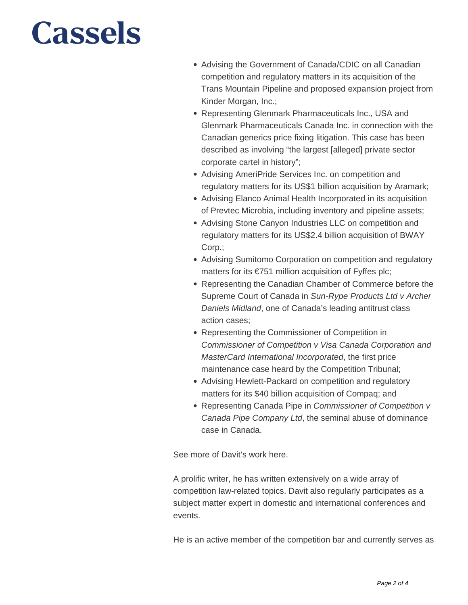- Advising the Government of Canada/CDIC on all Canadian competition and regulatory matters in its acquisition of the Trans Mountain Pipeline and proposed expansion project from Kinder Morgan, Inc.;
- Representing Glenmark Pharmaceuticals Inc., USA and Glenmark Pharmaceuticals Canada Inc. in connection with the Canadian generics price fixing litigation. This case has been described as involving "the largest [alleged] private sector corporate cartel in history";
- Advising AmeriPride Services Inc. on competition and regulatory matters for its US\$1 billion acquisition by Aramark;
- Advising Elanco Animal Health Incorporated in its acquisition of Prevtec Microbia, including inventory and pipeline assets;
- Advising Stone Canyon Industries LLC on competition and regulatory matters for its US\$2.4 billion acquisition of BWAY Corp.;
- Advising Sumitomo Corporation on competition and regulatory matters for its €751 million acquisition of Fyffes plc;
- Representing the Canadian Chamber of Commerce before the Supreme Court of Canada in Sun-Rype Products Ltd v Archer Daniels Midland, one of Canada's leading antitrust class action cases;
- Representing the Commissioner of Competition in Commissioner of Competition v Visa Canada Corporation and MasterCard International Incorporated, the first price maintenance case heard by the Competition Tribunal;
- Advising Hewlett-Packard on competition and regulatory matters for its \$40 billion acquisition of Compaq; and
- Representing Canada Pipe in Commissioner of Competition v Canada Pipe Company Ltd, the seminal abuse of dominance case in Canada.

See more of Davit's work here.

A prolific writer, he has written extensively on a wide array of competition law-related topics. Davit also regularly participates as a subject matter expert in domestic and international conferences and events.

He is an active member of the competition bar and currently serves as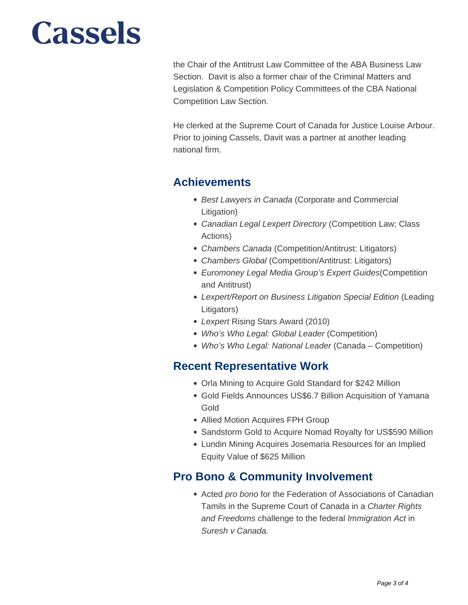the Chair of the Antitrust Law Committee of the ABA Business Law Section. Davit is also a former chair of the Criminal Matters and Legislation & Competition Policy Committees of the CBA National Competition Law Section.

He clerked at the Supreme Court of Canada for Justice Louise Arbour. Prior to joining Cassels, Davit was a partner at another leading national firm.

#### **Achievements**

- Best Lawyers in Canada (Corporate and Commercial Litigation)
- Canadian Legal Lexpert Directory (Competition Law; Class Actions)
- Chambers Canada (Competition/Antitrust: Litigators)
- Chambers Global (Competition/Antitrust: Litigators)
- Euromoney Legal Media Group's Expert Guides(Competition and Antitrust)
- Lexpert/Report on Business Litigation Special Edition (Leading Litigators)
- Lexpert Rising Stars Award (2010)
- Who's Who Legal: Global Leader (Competition)
- Who's Who Legal: National Leader (Canada Competition)

#### **Recent Representative Work**

- Orla Mining to Acquire Gold Standard for \$242 Million
- Gold Fields Announces US\$6.7 Billion Acquisition of Yamana Gold
- Allied Motion Acquires FPH Group
- Sandstorm Gold to Acquire Nomad Royalty for US\$590 Million
- Lundin Mining Acquires Josemaria Resources for an Implied Equity Value of \$625 Million

### **Pro Bono & Community Involvement**

• Acted *pro bono* for the Federation of Associations of Canadian Tamils in the Supreme Court of Canada in a Charter Rights and Freedoms challenge to the federal Immigration Act in Suresh v Canada.